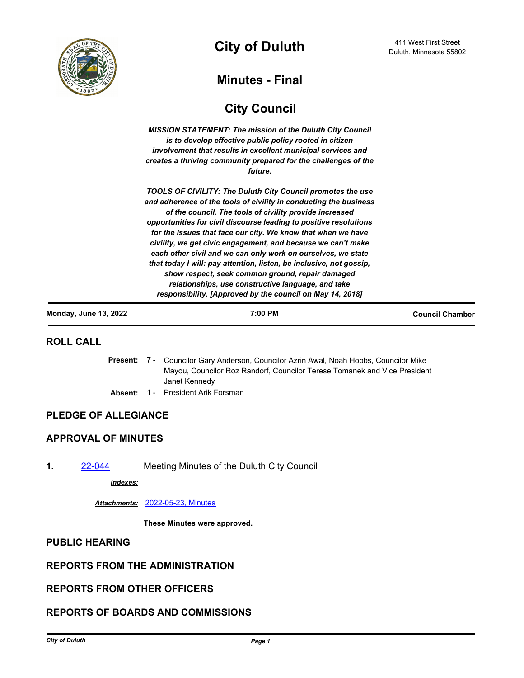

**City of Duluth**  $\frac{411 \text{ West First Street}}{Duluth, \text{ Minnesota } 55802}$ 

# **Minutes - Final**

# **City Council**

*MISSION STATEMENT: The mission of the Duluth City Council is to develop effective public policy rooted in citizen involvement that results in excellent municipal services and creates a thriving community prepared for the challenges of the future.*

*TOOLS OF CIVILITY: The Duluth City Council promotes the use and adherence of the tools of civility in conducting the business of the council. The tools of civility provide increased opportunities for civil discourse leading to positive resolutions for the issues that face our city. We know that when we have civility, we get civic engagement, and because we can't make each other civil and we can only work on ourselves, we state that today I will: pay attention, listen, be inclusive, not gossip, show respect, seek common ground, repair damaged relationships, use constructive language, and take responsibility. [Approved by the council on May 14, 2018]*

| <b>Monday, June 13, 2022</b> | 7:00 PM | <b>Council Chamber</b> |
|------------------------------|---------|------------------------|
|                              |         |                        |

### **ROLL CALL**

- Present: 7 Councilor Gary Anderson, Councilor Azrin Awal, Noah Hobbs, Councilor Mike Mayou, Councilor Roz Randorf, Councilor Terese Tomanek and Vice President Janet Kennedy
- Absent: 1 President Arik Forsman

### **PLEDGE OF ALLEGIANCE**

### **APPROVAL OF MINUTES**

**1.** [22-044](http://duluth-mn.legistar.com/gateway.aspx?m=l&id=/matter.aspx?key=8268) Meeting Minutes of the Duluth City Council

*Indexes:*

#### *Attachments:* [2022-05-23, Minutes](http://duluth-mn.legistar.com/gateway.aspx?M=F&ID=a2885b13-915b-4904-850a-ff8f919b06c7.pdf)

**These Minutes were approved.**

### **PUBLIC HEARING**

## **REPORTS FROM THE ADMINISTRATION**

### **REPORTS FROM OTHER OFFICERS**

### **REPORTS OF BOARDS AND COMMISSIONS**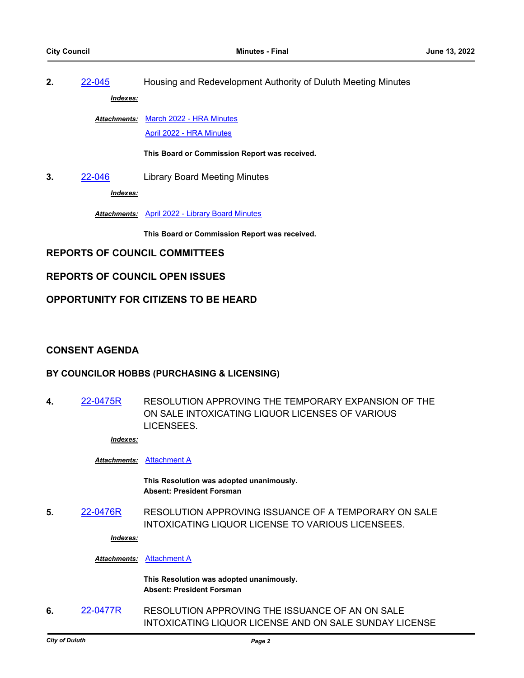**2.** [22-045](http://duluth-mn.legistar.com/gateway.aspx?m=l&id=/matter.aspx?key=8269) Housing and Redevelopment Authority of Duluth Meeting Minutes *Indexes:*

Attachments: [March 2022 - HRA Minutes](http://duluth-mn.legistar.com/gateway.aspx?M=F&ID=70bf5042-e845-453e-b3e6-225a5ab400b2.pdf)

[April 2022 - HRA Minutes](http://duluth-mn.legistar.com/gateway.aspx?M=F&ID=06a4afd9-a5c1-4403-8b21-daddca9e0e3a.pdf)

**This Board or Commission Report was received.**

**3.** [22-046](http://duluth-mn.legistar.com/gateway.aspx?m=l&id=/matter.aspx?key=8270) Library Board Meeting Minutes

*Indexes:*

*Attachments:* [April 2022 - Library Board Minutes](http://duluth-mn.legistar.com/gateway.aspx?M=F&ID=3d359edb-fe92-4f2f-bfea-4d28e1bd1416.pdf)

**This Board or Commission Report was received.**

**REPORTS OF COUNCIL COMMITTEES**

### **REPORTS OF COUNCIL OPEN ISSUES**

### **OPPORTUNITY FOR CITIZENS TO BE HEARD**

### **CONSENT AGENDA**

### **BY COUNCILOR HOBBS (PURCHASING & LICENSING)**

**4.** [22-0475R](http://duluth-mn.legistar.com/gateway.aspx?m=l&id=/matter.aspx?key=8261) RESOLUTION APPROVING THE TEMPORARY EXPANSION OF THE ON SALE INTOXICATING LIQUOR LICENSES OF VARIOUS **LICENSEES** 

*Indexes:*

#### *Attachments:* [Attachment A](http://duluth-mn.legistar.com/gateway.aspx?M=F&ID=3cedc31d-ab9d-4b4a-b018-c8a2723f8da4.pdf)

**This Resolution was adopted unanimously. Absent: President Forsman**

**5.** [22-0476R](http://duluth-mn.legistar.com/gateway.aspx?m=l&id=/matter.aspx?key=8262) RESOLUTION APPROVING ISSUANCE OF A TEMPORARY ON SALE INTOXICATING LIQUOR LICENSE TO VARIOUS LICENSEES.

*Indexes:*

*Attachments:* [Attachment A](http://duluth-mn.legistar.com/gateway.aspx?M=F&ID=3140d193-4159-461e-9783-8198869a5bf4.pdf)

**This Resolution was adopted unanimously. Absent: President Forsman**

**6.** [22-0477R](http://duluth-mn.legistar.com/gateway.aspx?m=l&id=/matter.aspx?key=8263) RESOLUTION APPROVING THE ISSUANCE OF AN ON SALE INTOXICATING LIQUOR LICENSE AND ON SALE SUNDAY LICENSE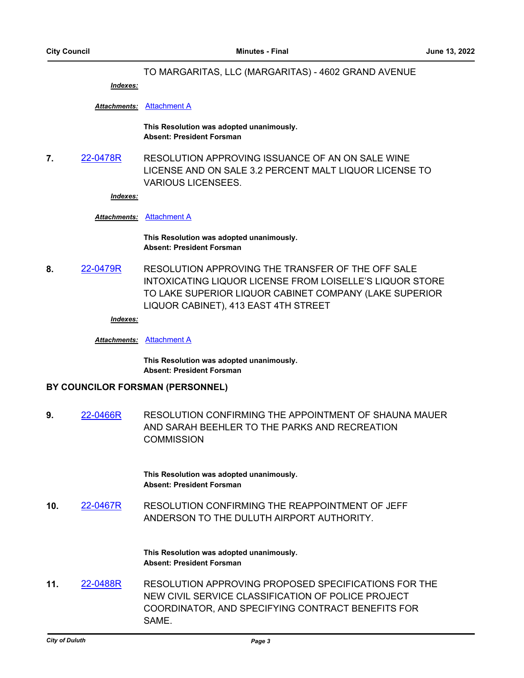#### TO MARGARITAS, LLC (MARGARITAS) - 4602 GRAND AVENUE

*Indexes:*

*Attachments:* [Attachment A](http://duluth-mn.legistar.com/gateway.aspx?M=F&ID=56d60157-f4fc-41c8-9416-3a98469f952b.pdf)

**This Resolution was adopted unanimously. Absent: President Forsman**

**7.** [22-0478R](http://duluth-mn.legistar.com/gateway.aspx?m=l&id=/matter.aspx?key=8264) RESOLUTION APPROVING ISSUANCE OF AN ON SALE WINE LICENSE AND ON SALE 3.2 PERCENT MALT LIQUOR LICENSE TO VARIOUS LICENSEES.

*Indexes:*

#### *Attachments:* [Attachment A](http://duluth-mn.legistar.com/gateway.aspx?M=F&ID=92e69f48-2fbe-4d79-a73b-8a2b5524ffaf.pdf)

**This Resolution was adopted unanimously. Absent: President Forsman**

**8.** [22-0479R](http://duluth-mn.legistar.com/gateway.aspx?m=l&id=/matter.aspx?key=8265) RESOLUTION APPROVING THE TRANSFER OF THE OFF SALE INTOXICATING LIQUOR LICENSE FROM LOISELLE'S LIQUOR STORE TO LAKE SUPERIOR LIQUOR CABINET COMPANY (LAKE SUPERIOR LIQUOR CABINET), 413 EAST 4TH STREET

*Indexes:*

*Attachments:* [Attachment A](http://duluth-mn.legistar.com/gateway.aspx?M=F&ID=8203c2bc-4a79-452f-80d1-586360eb01bc.pdf)

**This Resolution was adopted unanimously. Absent: President Forsman**

#### **BY COUNCILOR FORSMAN (PERSONNEL)**

**9.** [22-0466R](http://duluth-mn.legistar.com/gateway.aspx?m=l&id=/matter.aspx?key=8242) RESOLUTION CONFIRMING THE APPOINTMENT OF SHAUNA MAUER AND SARAH BEEHLER TO THE PARKS AND RECREATION **COMMISSION** 

> **This Resolution was adopted unanimously. Absent: President Forsman**

**10.** [22-0467R](http://duluth-mn.legistar.com/gateway.aspx?m=l&id=/matter.aspx?key=8243) RESOLUTION CONFIRMING THE REAPPOINTMENT OF JEFF ANDERSON TO THE DULUTH AIRPORT AUTHORITY.

> **This Resolution was adopted unanimously. Absent: President Forsman**

**11.** [22-0488R](http://duluth-mn.legistar.com/gateway.aspx?m=l&id=/matter.aspx?key=8274) RESOLUTION APPROVING PROPOSED SPECIFICATIONS FOR THE NEW CIVIL SERVICE CLASSIFICATION OF POLICE PROJECT COORDINATOR, AND SPECIFYING CONTRACT BENEFITS FOR SAME.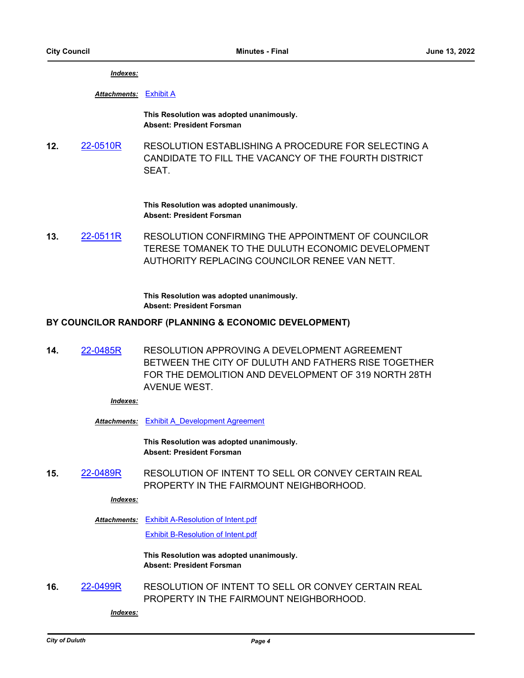*Indexes:*

*Attachments:* [Exhibit A](http://duluth-mn.legistar.com/gateway.aspx?M=F&ID=4ed9c4f3-234d-44e3-a3d2-185bba2e5e31.pdf)

**This Resolution was adopted unanimously. Absent: President Forsman**

**12.** [22-0510R](http://duluth-mn.legistar.com/gateway.aspx?m=l&id=/matter.aspx?key=8299) RESOLUTION ESTABLISHING A PROCEDURE FOR SELECTING A CANDIDATE TO FILL THE VACANCY OF THE FOURTH DISTRICT SEAT.

> **This Resolution was adopted unanimously. Absent: President Forsman**

**13.** [22-0511R](http://duluth-mn.legistar.com/gateway.aspx?m=l&id=/matter.aspx?key=8300) RESOLUTION CONFIRMING THE APPOINTMENT OF COUNCILOR TERESE TOMANEK TO THE DULUTH ECONOMIC DEVELOPMENT AUTHORITY REPLACING COUNCILOR RENEE VAN NETT.

> **This Resolution was adopted unanimously. Absent: President Forsman**

### **BY COUNCILOR RANDORF (PLANNING & ECONOMIC DEVELOPMENT)**

**14.** [22-0485R](http://duluth-mn.legistar.com/gateway.aspx?m=l&id=/matter.aspx?key=8271) RESOLUTION APPROVING A DEVELOPMENT AGREEMENT BETWEEN THE CITY OF DULUTH AND FATHERS RISE TOGETHER FOR THE DEMOLITION AND DEVELOPMENT OF 319 NORTH 28TH AVENUE WEST.

*Indexes:*

*Attachments:* [Exhibit A\\_Development Agreement](http://duluth-mn.legistar.com/gateway.aspx?M=F&ID=25542bda-a4b0-49ae-8622-0b7cda739bbc.pdf)

**This Resolution was adopted unanimously. Absent: President Forsman**

**15.** [22-0489R](http://duluth-mn.legistar.com/gateway.aspx?m=l&id=/matter.aspx?key=8275) RESOLUTION OF INTENT TO SELL OR CONVEY CERTAIN REAL PROPERTY IN THE FAIRMOUNT NEIGHBORHOOD.

*Indexes:*

[Exhibit A-Resolution of Intent.pdf](http://duluth-mn.legistar.com/gateway.aspx?M=F&ID=032d90d4-ed87-4a39-aa93-d29c4219a289.pdf) *Attachments:* [Exhibit B-Resolution of Intent.pdf](http://duluth-mn.legistar.com/gateway.aspx?M=F&ID=a3bc4035-6ac0-48a6-bf14-8b967d0b8be9.pdf)

> **This Resolution was adopted unanimously. Absent: President Forsman**

**16.** [22-0499R](http://duluth-mn.legistar.com/gateway.aspx?m=l&id=/matter.aspx?key=8285) RESOLUTION OF INTENT TO SELL OR CONVEY CERTAIN REAL PROPERTY IN THE FAIRMOUNT NEIGHBORHOOD.

*Indexes:*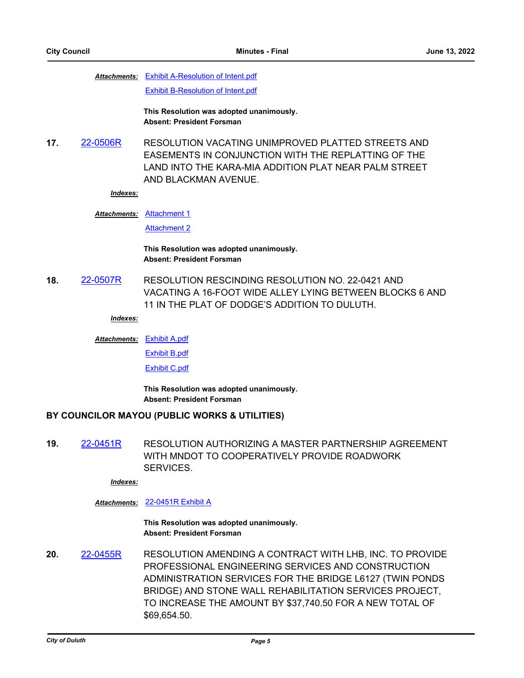Attachments: [Exhibit A-Resolution of Intent.pdf](http://duluth-mn.legistar.com/gateway.aspx?M=F&ID=440d006d-cc57-4dc7-9244-d0b3c08441b9.pdf) [Exhibit B-Resolution of Intent.pdf](http://duluth-mn.legistar.com/gateway.aspx?M=F&ID=a42b6d6b-88b3-490e-8180-a2ae6ee9d841.pdf)

> **This Resolution was adopted unanimously. Absent: President Forsman**

**17.** [22-0506R](http://duluth-mn.legistar.com/gateway.aspx?m=l&id=/matter.aspx?key=8292) RESOLUTION VACATING UNIMPROVED PLATTED STREETS AND EASEMENTS IN CONJUNCTION WITH THE REPLATTING OF THE LAND INTO THE KARA-MIA ADDITION PLAT NEAR PALM STREET AND BLACKMAN AVENUE.

#### *Indexes:*

Attachments: [Attachment 1](http://duluth-mn.legistar.com/gateway.aspx?M=F&ID=cc6aa237-416c-4287-a31c-18c7741317aa.pdf)

[Attachment 2](http://duluth-mn.legistar.com/gateway.aspx?M=F&ID=2cb6fa0b-a70e-45db-8953-f5696c124859.pdf)

#### **This Resolution was adopted unanimously. Absent: President Forsman**

**18.** [22-0507R](http://duluth-mn.legistar.com/gateway.aspx?m=l&id=/matter.aspx?key=8293) RESOLUTION RESCINDING RESOLUTION NO. 22-0421 AND VACATING A 16-FOOT WIDE ALLEY LYING BETWEEN BLOCKS 6 AND 11 IN THE PLAT OF DODGE'S ADDITION TO DULUTH.

*Indexes:*

```
Exhibit A.pdf
Attachments:
```
[Exhibit B.pdf](http://duluth-mn.legistar.com/gateway.aspx?M=F&ID=db322773-ed49-4cc9-9a26-730498a8f50c.pdf)

[Exhibit C.pdf](http://duluth-mn.legistar.com/gateway.aspx?M=F&ID=4de0c307-5633-4e82-bc8d-cd2e08472063.pdf)

**This Resolution was adopted unanimously. Absent: President Forsman**

#### **BY COUNCILOR MAYOU (PUBLIC WORKS & UTILITIES)**

**19.** [22-0451R](http://duluth-mn.legistar.com/gateway.aspx?m=l&id=/matter.aspx?key=8221) RESOLUTION AUTHORIZING A MASTER PARTNERSHIP AGREEMENT WITH MNDOT TO COOPERATIVELY PROVIDE ROADWORK **SERVICES** 

*Indexes:*

#### *Attachments:* [22-0451R Exhibit A](http://duluth-mn.legistar.com/gateway.aspx?M=F&ID=e367804c-d23b-41b4-a7fe-51715c2bdd52.pdf)

**This Resolution was adopted unanimously. Absent: President Forsman**

**20.** [22-0455R](http://duluth-mn.legistar.com/gateway.aspx?m=l&id=/matter.aspx?key=8231) RESOLUTION AMENDING A CONTRACT WITH LHB, INC. TO PROVIDE PROFESSIONAL ENGINEERING SERVICES AND CONSTRUCTION ADMINISTRATION SERVICES FOR THE BRIDGE L6127 (TWIN PONDS BRIDGE) AND STONE WALL REHABILITATION SERVICES PROJECT, TO INCREASE THE AMOUNT BY \$37,740.50 FOR A NEW TOTAL OF \$69,654.50.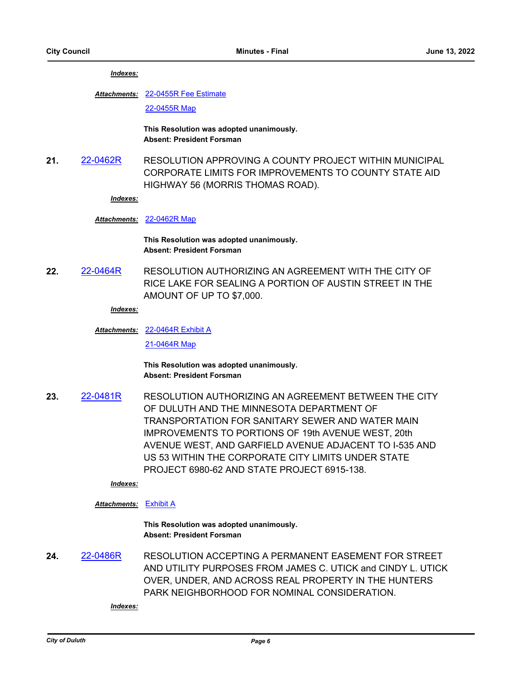#### *Indexes:*

#### [22-0455R Fee Estimate](http://duluth-mn.legistar.com/gateway.aspx?M=F&ID=70a7cfd1-180e-4a1f-999f-e2712fad8580.pdf) *Attachments:*

[22-0455R Map](http://duluth-mn.legistar.com/gateway.aspx?M=F&ID=397f9520-dd8f-4393-9d4e-7d0f0421cc2b.pdf)

**This Resolution was adopted unanimously. Absent: President Forsman**

**21.** [22-0462R](http://duluth-mn.legistar.com/gateway.aspx?m=l&id=/matter.aspx?key=8238) RESOLUTION APPROVING A COUNTY PROJECT WITHIN MUNICIPAL CORPORATE LIMITS FOR IMPROVEMENTS TO COUNTY STATE AID HIGHWAY 56 (MORRIS THOMAS ROAD).

*Indexes:*

#### *Attachments:* [22-0462R Map](http://duluth-mn.legistar.com/gateway.aspx?M=F&ID=1e4d01e2-67b3-40d1-bf6a-32b88e457cfb.pdf)

**This Resolution was adopted unanimously. Absent: President Forsman**

**22.** [22-0464R](http://duluth-mn.legistar.com/gateway.aspx?m=l&id=/matter.aspx?key=8240) RESOLUTION AUTHORIZING AN AGREEMENT WITH THE CITY OF RICE LAKE FOR SEALING A PORTION OF AUSTIN STREET IN THE AMOUNT OF UP TO \$7,000.

#### *Indexes:*

#### [22-0464R Exhibit A](http://duluth-mn.legistar.com/gateway.aspx?M=F&ID=29bcc92f-6c44-47f1-9219-14396ce29cc7.pdf) *Attachments:*

[21-0464R Map](http://duluth-mn.legistar.com/gateway.aspx?M=F&ID=13ea3b07-dff4-4d68-ad3f-1ac256323206.pdf)

**This Resolution was adopted unanimously. Absent: President Forsman**

**23.** [22-0481R](http://duluth-mn.legistar.com/gateway.aspx?m=l&id=/matter.aspx?key=8267) RESOLUTION AUTHORIZING AN AGREEMENT BETWEEN THE CITY OF DULUTH AND THE MINNESOTA DEPARTMENT OF TRANSPORTATION FOR SANITARY SEWER AND WATER MAIN IMPROVEMENTS TO PORTIONS OF 19th AVENUE WEST, 20th AVENUE WEST, AND GARFIELD AVENUE ADJACENT TO I-535 AND US 53 WITHIN THE CORPORATE CITY LIMITS UNDER STATE PROJECT 6980-62 AND STATE PROJECT 6915-138.

#### *Indexes:*

#### *Attachments:* [Exhibit A](http://duluth-mn.legistar.com/gateway.aspx?M=F&ID=22aa0ed8-3716-4a09-9228-d30b75eb826f.pdf)

**This Resolution was adopted unanimously. Absent: President Forsman**

**24.** [22-0486R](http://duluth-mn.legistar.com/gateway.aspx?m=l&id=/matter.aspx?key=8272) RESOLUTION ACCEPTING A PERMANENT EASEMENT FOR STREET AND UTILITY PURPOSES FROM JAMES C. UTICK and CINDY L. UTICK OVER, UNDER, AND ACROSS REAL PROPERTY IN THE HUNTERS PARK NEIGHBORHOOD FOR NOMINAL CONSIDERATION.

*Indexes:*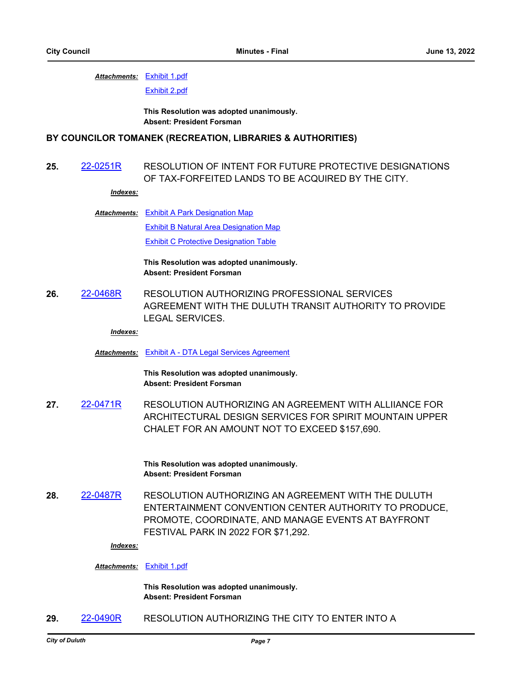#### [Exhibit 1.pdf](http://duluth-mn.legistar.com/gateway.aspx?M=F&ID=b786bfc0-c68f-4a17-b76e-a3efc0efb11b.pdf) *Attachments:*

[Exhibit 2.pdf](http://duluth-mn.legistar.com/gateway.aspx?M=F&ID=be781f38-0666-426d-b71e-a50bda8a966c.pdf)

**This Resolution was adopted unanimously. Absent: President Forsman**

#### **BY COUNCILOR TOMANEK (RECREATION, LIBRARIES & AUTHORITIES)**

### **25.** [22-0251R](http://duluth-mn.legistar.com/gateway.aspx?m=l&id=/matter.aspx?key=7991) RESOLUTION OF INTENT FOR FUTURE PROTECTIVE DESIGNATIONS OF TAX-FORFEITED LANDS TO BE ACQUIRED BY THE CITY.

#### *Indexes:*

[Exhibit A Park Designation Map](http://duluth-mn.legistar.com/gateway.aspx?M=F&ID=1719545c-b0f8-4a06-b943-c73f962b5417.pdf) *Attachments:* [Exhibit B Natural Area Designation Map](http://duluth-mn.legistar.com/gateway.aspx?M=F&ID=bff7cbef-d48f-4db1-b5c4-1bdabf148494.pdf) [Exhibit C Protective Designation Table](http://duluth-mn.legistar.com/gateway.aspx?M=F&ID=c56b7e52-43d6-40d6-9042-57160744e707.pdf)

> **This Resolution was adopted unanimously. Absent: President Forsman**

**26.** [22-0468R](http://duluth-mn.legistar.com/gateway.aspx?m=l&id=/matter.aspx?key=8244) RESOLUTION AUTHORIZING PROFESSIONAL SERVICES AGREEMENT WITH THE DULUTH TRANSIT AUTHORITY TO PROVIDE LEGAL SERVICES.

#### *Indexes:*

*Attachments:* [Exhibit A - DTA Legal Services Agreement](http://duluth-mn.legistar.com/gateway.aspx?M=F&ID=7bac651b-0985-4b72-8c90-519fb8edb73e.pdf)

**This Resolution was adopted unanimously. Absent: President Forsman**

**27.** [22-0471R](http://duluth-mn.legistar.com/gateway.aspx?m=l&id=/matter.aspx?key=8257) RESOLUTION AUTHORIZING AN AGREEMENT WITH ALLIIANCE FOR ARCHITECTURAL DESIGN SERVICES FOR SPIRIT MOUNTAIN UPPER CHALET FOR AN AMOUNT NOT TO EXCEED \$157,690.

> **This Resolution was adopted unanimously. Absent: President Forsman**

**28.** [22-0487R](http://duluth-mn.legistar.com/gateway.aspx?m=l&id=/matter.aspx?key=8273) RESOLUTION AUTHORIZING AN AGREEMENT WITH THE DULUTH ENTERTAINMENT CONVENTION CENTER AUTHORITY TO PRODUCE, PROMOTE, COORDINATE, AND MANAGE EVENTS AT BAYFRONT FESTIVAL PARK IN 2022 FOR \$71,292.

#### *Indexes:*

#### *Attachments:* [Exhibit 1.pdf](http://duluth-mn.legistar.com/gateway.aspx?M=F&ID=0db484b4-445a-41d3-a90f-c81be7bcb9cf.pdf)

**This Resolution was adopted unanimously. Absent: President Forsman**

**29.** [22-0490R](http://duluth-mn.legistar.com/gateway.aspx?m=l&id=/matter.aspx?key=8276) RESOLUTION AUTHORIZING THE CITY TO ENTER INTO A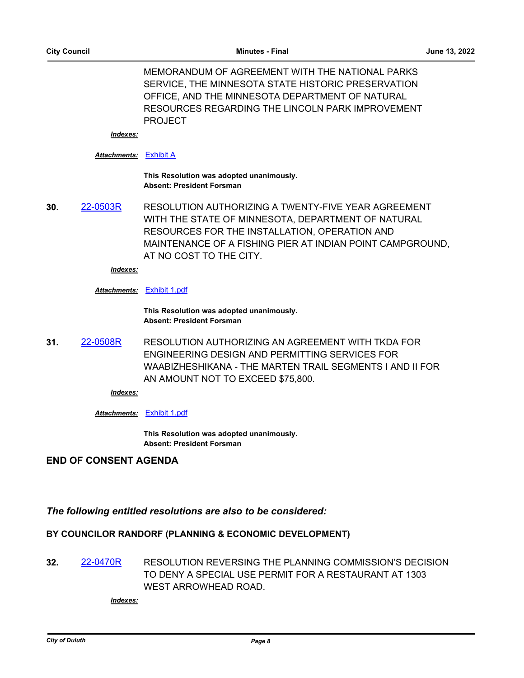MEMORANDUM OF AGREEMENT WITH THE NATIONAL PARKS SERVICE, THE MINNESOTA STATE HISTORIC PRESERVATION OFFICE, AND THE MINNESOTA DEPARTMENT OF NATURAL RESOURCES REGARDING THE LINCOLN PARK IMPROVEMENT PROJECT

*Indexes:*

#### *Attachments:* [Exhibit A](http://duluth-mn.legistar.com/gateway.aspx?M=F&ID=c3db140a-8d4c-4ed9-af3c-fde05a32bf77.pdf)

#### **This Resolution was adopted unanimously. Absent: President Forsman**

**30.** [22-0503R](http://duluth-mn.legistar.com/gateway.aspx?m=l&id=/matter.aspx?key=8289) RESOLUTION AUTHORIZING A TWENTY-FIVE YEAR AGREEMENT WITH THE STATE OF MINNESOTA, DEPARTMENT OF NATURAL RESOURCES FOR THE INSTALLATION, OPERATION AND MAINTENANCE OF A FISHING PIER AT INDIAN POINT CAMPGROUND, AT NO COST TO THE CITY.

*Indexes:*

#### *Attachments:* [Exhibit 1.pdf](http://duluth-mn.legistar.com/gateway.aspx?M=F&ID=80de9070-516b-444d-8c45-0a9f6b1d8fc3.pdf)

**This Resolution was adopted unanimously. Absent: President Forsman**

**31.** [22-0508R](http://duluth-mn.legistar.com/gateway.aspx?m=l&id=/matter.aspx?key=8294) RESOLUTION AUTHORIZING AN AGREEMENT WITH TKDA FOR ENGINEERING DESIGN AND PERMITTING SERVICES FOR WAABIZHESHIKANA - THE MARTEN TRAIL SEGMENTS I AND II FOR AN AMOUNT NOT TO EXCEED \$75,800.

*Indexes:*

#### *Attachments:* [Exhibit 1.pdf](http://duluth-mn.legistar.com/gateway.aspx?M=F&ID=fdb6c111-8f33-4472-bfe0-f144f600430e.pdf)

**This Resolution was adopted unanimously. Absent: President Forsman**

### **END OF CONSENT AGENDA**

### *The following entitled resolutions are also to be considered:*

### **BY COUNCILOR RANDORF (PLANNING & ECONOMIC DEVELOPMENT)**

**32.** [22-0470R](http://duluth-mn.legistar.com/gateway.aspx?m=l&id=/matter.aspx?key=8249) RESOLUTION REVERSING THE PLANNING COMMISSION'S DECISION TO DENY A SPECIAL USE PERMIT FOR A RESTAURANT AT 1303 WEST ARROWHEAD ROAD.

*Indexes:*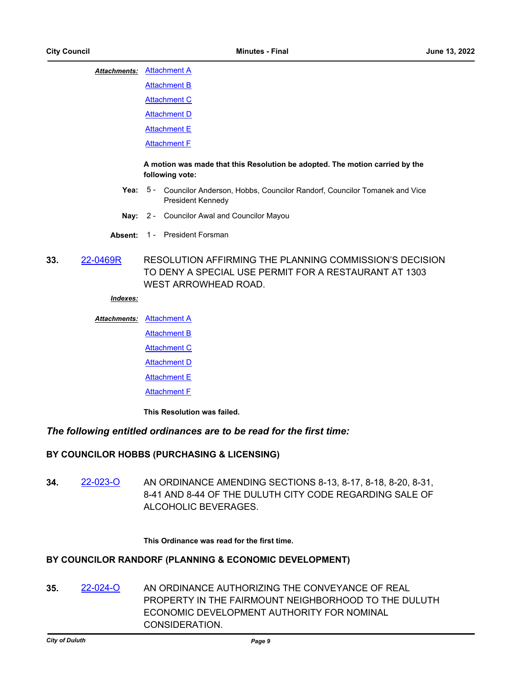#### **Attachments: [Attachment A](http://duluth-mn.legistar.com/gateway.aspx?M=F&ID=307cb5ac-e016-4230-98b9-7d4feed53d12.pdf)**

**[Attachment B](http://duluth-mn.legistar.com/gateway.aspx?M=F&ID=677a0861-7a65-4ea0-b3eb-c26d4d2de665.pdf) [Attachment C](http://duluth-mn.legistar.com/gateway.aspx?M=F&ID=52019417-0284-46ed-aa31-a5eb52edd5b2.pdf)** 

[Attachment D](http://duluth-mn.legistar.com/gateway.aspx?M=F&ID=0cf5ed12-d10f-4d0c-9d50-1defdc243caa.pdf)

[Attachment E](http://duluth-mn.legistar.com/gateway.aspx?M=F&ID=1e1597be-3f04-49f4-be57-b4b151eeef25.pdf)

**[Attachment F](http://duluth-mn.legistar.com/gateway.aspx?M=F&ID=a9d39c9e-03c2-4264-b98f-43d202214b16.pdf)** 

#### **A motion was made that this Resolution be adopted. The motion carried by the following vote:**

- Yea: 5 Councilor Anderson, Hobbs, Councilor Randorf, Councilor Tomanek and Vice President Kennedy
- **Nay:** 2 Councilor Awal and Councilor Mayou
- **Absent:** 1 President Forsman
- **33.** [22-0469R](http://duluth-mn.legistar.com/gateway.aspx?m=l&id=/matter.aspx?key=8245) RESOLUTION AFFIRMING THE PLANNING COMMISSION'S DECISION TO DENY A SPECIAL USE PERMIT FOR A RESTAURANT AT 1303 WEST ARROWHEAD ROAD.

#### *Indexes:*

#### **Attachments: [Attachment A](http://duluth-mn.legistar.com/gateway.aspx?M=F&ID=eb0aa178-f128-4694-a84d-fd3553aa7a6c.pdf)**

- **[Attachment B](http://duluth-mn.legistar.com/gateway.aspx?M=F&ID=e87118b3-c0ec-46c2-b46a-1fd30490e21a.pdf)** 
	- [Attachment C](http://duluth-mn.legistar.com/gateway.aspx?M=F&ID=7549b856-d030-4dc3-9411-c6d4bcf3b24d.pdf)

**[Attachment D](http://duluth-mn.legistar.com/gateway.aspx?M=F&ID=b34ba378-dc3a-4212-a9cd-f1fe9c3451ac.pdf)** 

- **[Attachment E](http://duluth-mn.legistar.com/gateway.aspx?M=F&ID=9a0fe93d-fe99-4574-832b-2fb7fe902077.pdf)**
- [Attachment F](http://duluth-mn.legistar.com/gateway.aspx?M=F&ID=c56191c6-1d85-4447-a026-a67d35bec187.pdf)

**This Resolution was failed.**

### *The following entitled ordinances are to be read for the first time:*

### **BY COUNCILOR HOBBS (PURCHASING & LICENSING)**

**34.** [22-023-O](http://duluth-mn.legistar.com/gateway.aspx?m=l&id=/matter.aspx?key=8239) AN ORDINANCE AMENDING SECTIONS 8-13, 8-17, 8-18, 8-20, 8-31, 8-41 AND 8-44 OF THE DULUTH CITY CODE REGARDING SALE OF ALCOHOLIC BEVERAGES.

#### **This Ordinance was read for the first time.**

### **BY COUNCILOR RANDORF (PLANNING & ECONOMIC DEVELOPMENT)**

**35.** [22-024-O](http://duluth-mn.legistar.com/gateway.aspx?m=l&id=/matter.aspx?key=8277) AN ORDINANCE AUTHORIZING THE CONVEYANCE OF REAL PROPERTY IN THE FAIRMOUNT NEIGHBORHOOD TO THE DULUTH ECONOMIC DEVELOPMENT AUTHORITY FOR NOMINAL CONSIDERATION.